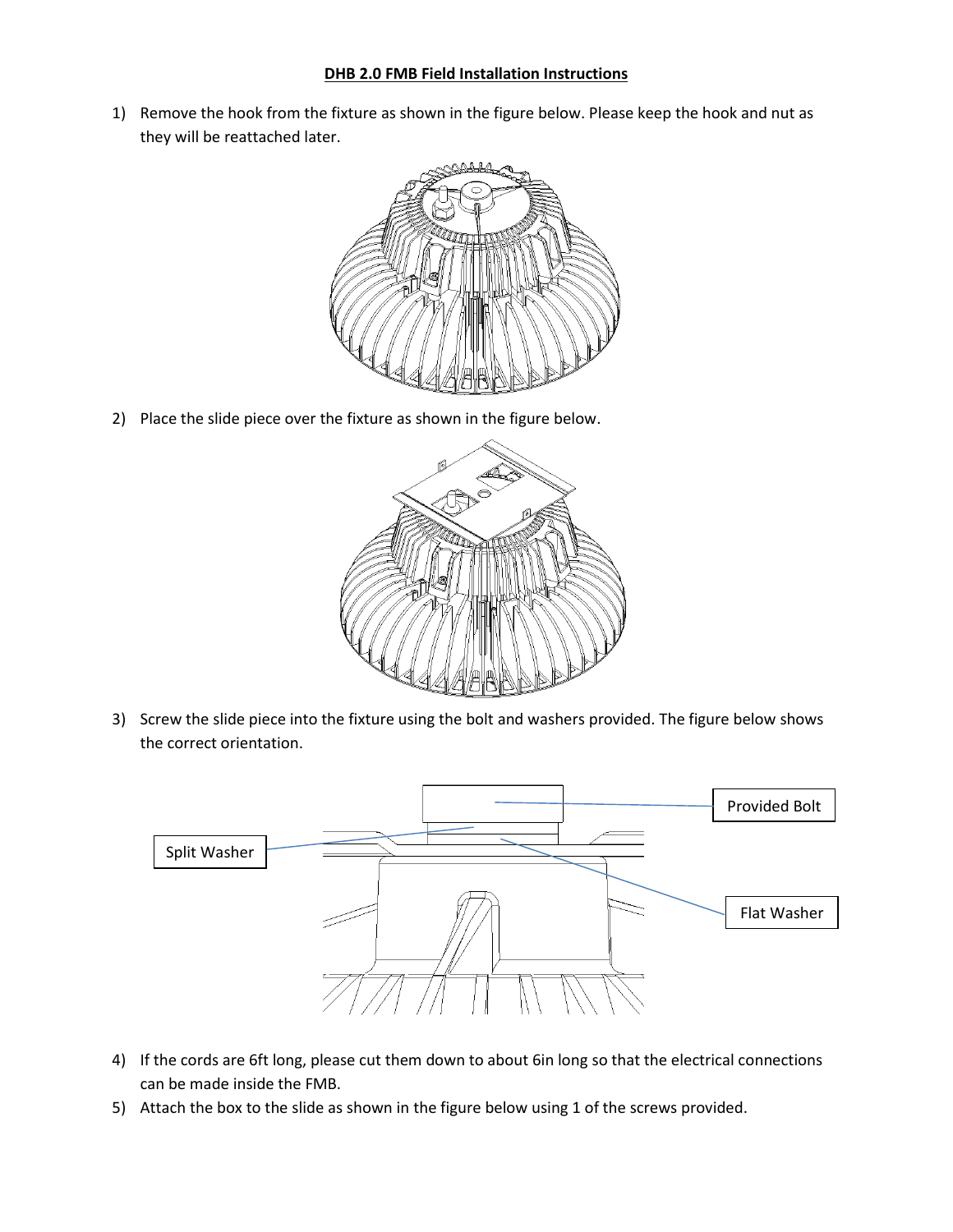## **DHB 2.0 FMB Field Installation Instructions**

1) Remove the hook from the fixture as shown in the figure below. Please keep the hook and nut as they will be reattached later.



2) Place the slide piece over the fixture as shown in the figure below.



3) Screw the slide piece into the fixture using the bolt and washers provided. The figure below shows the correct orientation.



- 4) If the cords are 6ft long, please cut them down to about 6in long so that the electrical connections can be made inside the FMB.
- 5) Attach the box to the slide as shown in the figure below using 1 of the screws provided.